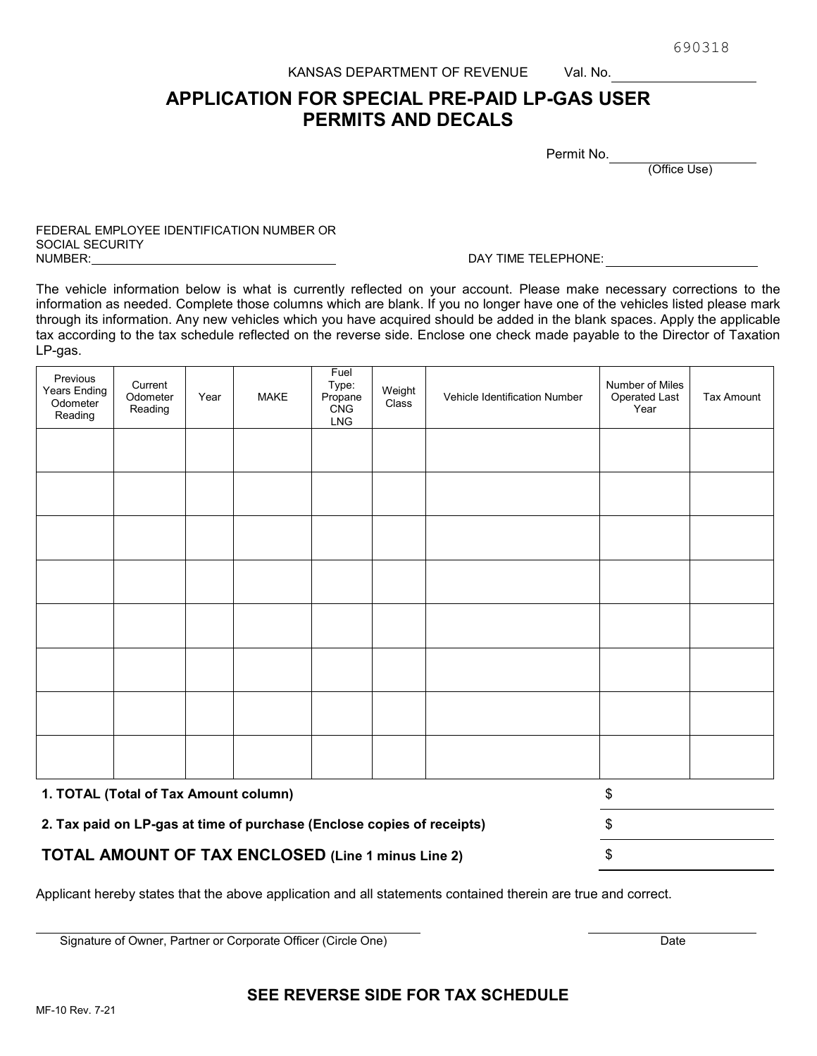690318

#### KANSAS DEPARTMENT OF REVENUE Val. No.

# **APPLICATION FOR SPECIAL PRE-PAID LP-GAS USER PERMITS AND DECALS**

Permit No.

(Office Use)

## FEDERAL EMPLOYEE IDENTIFICATION NUMBER OR SOCIAL SECURITY<br>NUMBER:

#### DAY TIME TELEPHONE:

The vehicle information below is what is currently reflected on your account. Please make necessary corrections to the information as needed. Complete those columns which are blank. If you no longer have one of the vehicles listed please mark through its information. Any new vehicles which you have acquired should be added in the blank spaces. Apply the applicable tax according to the tax schedule reflected on the reverse side. Enclose one check made payable to the Director of Taxation LP-gas.

| Previous<br>Years Ending<br>Odometer<br>Reading                        | Current<br>Odometer<br>Reading | Year | MAKE | Fuel<br>Type:<br>Propane<br>CNG<br>LNG | Weight<br>Class | Vehicle Identification Number | Number of Miles<br>Operated Last<br>Year | Tax Amount |
|------------------------------------------------------------------------|--------------------------------|------|------|----------------------------------------|-----------------|-------------------------------|------------------------------------------|------------|
|                                                                        |                                |      |      |                                        |                 |                               |                                          |            |
|                                                                        |                                |      |      |                                        |                 |                               |                                          |            |
|                                                                        |                                |      |      |                                        |                 |                               |                                          |            |
|                                                                        |                                |      |      |                                        |                 |                               |                                          |            |
|                                                                        |                                |      |      |                                        |                 |                               |                                          |            |
|                                                                        |                                |      |      |                                        |                 |                               |                                          |            |
|                                                                        |                                |      |      |                                        |                 |                               |                                          |            |
|                                                                        |                                |      |      |                                        |                 |                               |                                          |            |
| 1. TOTAL (Total of Tax Amount column)                                  |                                |      |      | \$                                     |                 |                               |                                          |            |
| 2. Tax paid on LP-gas at time of purchase (Enclose copies of receipts) |                                |      |      | \$                                     |                 |                               |                                          |            |

**TOTAL AMOUNT OF TAX ENCLOSED (Line 1 minus Line 2)** \$

Applicant hereby states that the above application and all statements contained therein are true and correct.

Signature of Owner, Partner or Corporate Officer (Circle One) Date

## **SEE REVERSE SIDE FOR TAX SCHEDULE**